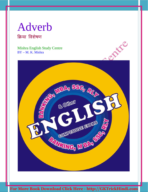# Adverb क्रिया विशेषण

Mishra English Study Centre BY – M. K. Mishra

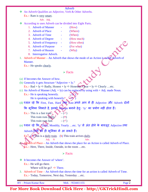#### Adverb

An Adverb Qualifies an Adjective, Verb & Other Adverbs.

Ex.:- Ram is very smart.

Adv. Adj.

- According to uses Adverb can be divided into Eight Parts.
	- 1. Adverb of Manner (How)
	- 2. Adverb of Place  $\qquad \qquad \qquad$  (Where)
	- 3. Adverb of Time (When)
	- 4. Adverb of Degree (How much)
		-
	- 5. Adverb of Frequency (How often)
		-
	- 6. Adverb of Purpose (For what)
	- 7. Adverb of Reason (Why)
	- 8. Interrogative Adverb.
- 1. Adverb of Manner An Adverb that shows the mode of an Action is called Adverb of Manner.

Ex.:- He speaks clearly.

### $\triangleright$  Facts

- (a) If becomes the Answer of how.
- (b) Generally it gets Structure "Adjective + ly." Ex.:- Bad + ly  $\Rightarrow$  Badly, Honest + ly  $\Rightarrow$  Honestly, Clear + ly  $\Rightarrow$  Clearly ...etc.
- (c) An Adverb of Manner (Adj. + ly) can be replaced by using with + Adj. made Noun.  $Ex.:$  He is speaking honestly. He is speaking with honestly. $\bullet$
- (d) ध्यान रहे कि First, Fast, Hard तथा Last अपने आप में ही Adjective और Adverb दोनों

कि भूमिका निभाते है, इनको Manner बनाने हेतुः 'ly' का प्रयोग नहीं होता हैं।

- Ex.:- This is a fast train.  $\sqrt{\phantom{a}}$   $(\checkmark)$ This train runs  $\text{fastly}$   $-$  ( $\ge$ ) This train runs fast.  $(\checkmark)$
- (e) ध्यान रहे कि 'Daily, Monthly, Yearly …etc. 'ly' से अंत होने के बावजूद Adjective तथा

Adverb दोनों की ही भूमिका में आ सकते हैं।

Ex.: $\bullet$  (a) This is a daily train. (b) This train arrives daily.

#### **Adj.** N Adv.

Adverb of Place – An Adverb that shows the place for an Action is called Adverb of Place. Ex.:- Here, There, Inside, Outside, in the room …etc.

### $\triangleright$  Facts

- It becomes the Answer of 'where'.
	- Ex.:- He will go there.

Where will he go?  $\Rightarrow$  There.

3. Adverb of Time – An Adverb that shows the time for an action is called Adverb of Time. Ex.:- Today, Tomorrow, Next day, Yesterday …etc.

BY – Pritam Kumar Raw Mob. - 9534411155 Page 2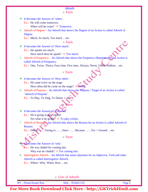#### Adverb

 $\triangleright$  Facts

It becomes the Answer of 'when'.

Ex.:- He will come tomorrow.

- When will he come?  $\Rightarrow$  Tomorrow.
- 4. Adverb of Degree An Adverb that shows the Degree of an Action is called Adverb of Degree.

Ex.:- Much, So much, Too much …etc.

#### $\triangleright$  Facts

- It becomes the Answer of 'How much'. Ex.:- He speaks too much.
	- How much does he speak?  $\Rightarrow$  Too much.
- 5. Adverb of Frequency An Adverb that shows the Frequency (Repetition of an Action is called Adverb of Frequency.

Ex.:- One, Twice, Thrice, Four time, Five time, Always, Never, Often, Seldom …etc.

### $\triangleright$  Facts

 It becomes the Answer of 'How often'. Ex.:- He came twice on the stage.

How often did he come on the stage?  $\Rightarrow$  Twice.

6. Adverb of Purpose – An Adverb that shows the Purpose / Target of an Action is called 'Adverb of Purpose'.

**Facts** 

Ex.:- To Play, To Sing, To Dance ...et

### $\cdot \cdot$  It becomes the Answer of *Forwhat'*. Ex.:- He is going to play cricket.

For what is he going?  $\Rightarrow$  To play cricket.

7. Adverb of Reason – An Adverb that shows the Reason for an Action is called Adverb of Reason.

Ex.:- Due to ...., Owing to ...., Since ...., Because ...., For + Gerund ...etc.

 $\triangleright$  Facts

It becomes the Answer of 'why'.

**Ex.:-** He was chided for coming late.

Why was he chided?  $\Rightarrow$  For coming late.

8. Interrogative Adverb – An Adverb that arises Question for an Adjective, Verb and other Adverb is called Interrogative Adverb.

Ex.:- Where, Why, When, How …etc.

Uses of Adverb

BY – Pritam Kumar Raw Mob. - 9534411155 Page 3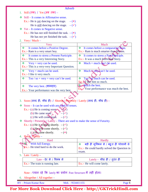|  | Adverb |  |
|--|--------|--|
|  |        |  |

- 1. Still (तक) / Yet (अब तक) –
- $\div$  Still It comes in Affirmative sense.
	- Ex.:- He is yet dancing on the stage.  $-(\star)$ 
		- He is <u>still</u> dancing on the stage.  $-(\checkmark)$
- $\div$  Yet It comes in Negative sense.
	- Ex.:- He has not still finished the task.  $-$  ( $\ast$ ) He has not yet finished the task.  $-(\checkmark)$
- 2. Very / Much  $-$

| Very                                                                 | Much                                            |
|----------------------------------------------------------------------|-------------------------------------------------|
| 察<br>It comes before a Positive Degree.                              | $\div$ It comes before a comparative form.      |
| Ex.:- Ram is a very smart boy.                                       | Ex.:- Ram is much smarter than Shyam.           |
| 察<br>It comes to stress a Present Participle.                        | It comes to stress a Past Participle.<br>參      |
| Ex.:- This is a very Interesting Story.                              | Ex.:- It was a much Interested Story.           |
| 察<br>$Very + very can be used.$                                      | Much + much $can't$ be used.<br><b>SALE</b>     |
| Ex.:- This is a very-very Important Question.                        |                                                 |
| ❖<br>$Very + much can be used.$                                      | Much A very can't be used.<br>參                 |
| Ex.:- I like it very much.                                           |                                                 |
| $\mathcal{L}_{\mathcal{S}}$<br>Too / so + very + very can't be used. | Too so much can be used.<br>$\mathcal{L}$       |
|                                                                      | Ex.: I like him so much.                        |
| 豪<br>The very best. (शानदार)                                         | <b>Example 1</b> Much the best.                 |
| Ex.:- Your performance was the very best.                            | Ex $\angle$ Your performance was much the best. |

- 3. Soon (जल्द ही, शीघ्र ही) / Shortly / Presently / Lately (जल्द ही, शीघ्र ही) –
- $\textcolor{blue}{\bullet}$  Soon It can be used with any kind of tenses.
	- Ex.:- (a) He is coming soon.  $\blacktriangleleft \langle \cdot \rangle$ 
		- (b) He came soon.  $\mathcal{L}$  ( $\checkmark$ )
		- (c) He will come soon.  $-(\checkmark)$
- $\triangleleft$  Shortly / Presently / Lately There are used to make the sense of Futurity.
	- Ex.:- (a) He is coming shortly.  $-(\checkmark)$ 
		- (b) He will come shortly.  $-(\checkmark)$
		- (c) He came shortly.  $-(\mathbf{x})$
- 4. Hard / Hardly -

| Hard                                                                 | Hardly                                                                                           |
|----------------------------------------------------------------------|--------------------------------------------------------------------------------------------------|
| $\sqrt{\ }$ With full Energy.<br>Ex.:- He tried hard to do the work. | बड़ी ही मुश्किल से / बहुत ही परेशानी से<br>Ex.:- He could hardly solved the Question in<br>exam. |
|                                                                      |                                                                                                  |

5. Late / Lately  $-$ 

| Late – देर से / विलंब से         | Lately – शीघ्र ही / तुरंत ही |
|----------------------------------|------------------------------|
| Ex.:- The train is running late. | Ex.:- He will come lately.   |

Note – ध्यान रहे कि lately का प्रयोग Past Structure में नहीं होता।

- 6. Altogether / All together –
- BY Pritam Kumar Raw Mob. 9534411155 Page 4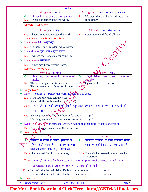|               | <b>Adverb</b>                                                                          |                                                                                    |
|---------------|----------------------------------------------------------------------------------------|------------------------------------------------------------------------------------|
|               | Altogether – पूर्णतः                                                                   | All together – सब एक साथ / साथ-साथ                                                 |
| $\frac{1}{2}$ | It is used in the sense of completely.<br>Ex.:- He has altogether done the work.       | Ex.:- We went there and enjoyed the party<br>all together.                         |
|               | 7. Already / All ready –                                                               |                                                                                    |
|               | Already – पहले ही                                                                      | All ready - व्यवस्थित रूप में                                                      |
|               | Ex.:- I have already completed the work.                                               | Ex.:- I went there and found all ready.                                            |
|               | 8. Sometime / Some time / Sometimes –                                                  |                                                                                    |
| ❖             | Sometime $(Adj.) - 37\pi$ -पूर्व                                                       |                                                                                    |
|               | Ex.:- Our sometime President was a Scientist.                                          |                                                                                    |
| 參             | Some time – कुछ क्षण / कुछ समय                                                         | ANCE                                                                               |
|               | Ex.:- I will go there and stay for some time.                                          |                                                                                    |
| ozo.          | $S$ ometimes – कभी-कभी                                                                 |                                                                                    |
|               | Ex.:- Sometimes I forget your Name.                                                    |                                                                                    |
|               | 9. Everyday / Every day $-$                                                            |                                                                                    |
|               | Every day – Simple                                                                     | Every day - Daily                                                                  |
| $\frac{1}{2}$ | It is an Adj. that comes in the sense of                                               | $\sigma_{\rm eff}^{\rm R}$<br>It is an Adverb that comes in the sense              |
|               | simple.                                                                                | of daily.                                                                          |
|               | Ex.:- This is a simple Question for me.<br>This is an everyday Question for me.        | Ex.:- He comes here every day.                                                     |
|               | 10. Only / Even $-$                                                                    |                                                                                    |
|               | $\cdot$ Only – It comes just before the word, for which it is used.                    |                                                                                    |
|               | Ex.:- Raju had only died ten days ago. (*)                                             |                                                                                    |
|               | Raju had died only ten days ago. $\check{(\checkmark)}$                                |                                                                                    |
|               |                                                                                        | Note - ध्यान रहे कि किसी रकम को दर्शाने हेतुः Only रकम के पहले या रकम के बाद भी हो |
|               | सकता है।                                                                               |                                                                                    |
|               | Ex.:- He has given me only five thousands rupees.                                      | $-(\checkmark)$                                                                    |
|               | He has given me five thousands rupees only.                                            | $-(\checkmark)$                                                                    |
|               | • Even – यहाँ तक की It comes to show an Action that happens without expectation.       |                                                                                    |
|               | Ex.:- Even a beggar keeps a mobile in my area.                                         |                                                                                    |
|               | 11. Ago / Before $2$                                                                   |                                                                                    |
|               | Ago                                                                                    | <b>Before</b>                                                                      |
|               | ुर्वर्तमान के समय से लेकर भूतकाल में                                                   | किन्हीदो घटनाओं में पहले संपादित किसी<br>❖                                         |
|               | घटित किसी घटना के समय तक के कुल                                                        | घटना को दर्शाने हेतुः 'Before' आता है।                                             |
|               | योग को दर्शाने हेतुः 'Ago' आता है।                                                     |                                                                                    |
|               | Ex.:- I had visited Delhi six months ago.                                              | Ex.:- The train had started before I reached<br>the station.                       |
|               | Note - ध्यान रहे कि यदि किसी Direct Narration के तहत Main Clause Past Tense में हो, तो |                                                                                    |
|               | Subordinate Part में 'Ago' के बदले भी 'Before' ही आता है।                              |                                                                                    |
|               | Ex.:- Ram said that he had visited Delhi six months ago.                               | $-({\bf x})$                                                                       |
|               | Ram said that he had visited Delhi six months before.                                  | $-(\checkmark)$                                                                    |
|               |                                                                                        |                                                                                    |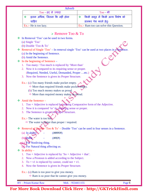|                       | Adverb                                                      |                             |                                        |
|-----------------------|-------------------------------------------------------------|-----------------------------|----------------------------------------|
|                       | $\rm{Too}-\overline{\epsilon}\overline{\epsilon}$ से ज्यादा |                             | $\rm Too-}$ भी                         |
|                       | इतना अधिक, जितना कि नहीं होना                               | $\mathcal{L}_{\mathcal{C}}$ | किसी समूह में किसी अन्य विशेष को       |
| चाहिए                 |                                                             |                             | डालकर पेश करने हेतुः                   |
| Ex.:- He is too lazy. |                                                             |                             | Ex.:- Ram too can solve this Question. |

### Remove Too & To

- In Removal 'Too' can be used in two forms.
	- (a) Single 'Too'
	- (b) Double 'Too & To'
- Removal of Single 'Too' In removal single 'Too' can be used at two places in a Sentence. (a) In the beginning of Sentence.
	- (b) Amid the Sentence.

 $\triangleq$  In the beginning of Sentence –

- 1. Too many / Too much is replaced by 'More than'
- 2. Now it is compared to its requiring sense or proper. (Required, Needed, Useful, Demanded, Proper …etc.)
- 3. Now the Sentence is given its Proper Structure.

Ex.:- (a) Too many friends make pocket empty.

- $\Rightarrow$  More than required friends make pocket empty.
- (b) Too much money makes us proud.
- $\Rightarrow$  More than required money makes us proud.

### Amid the Sentence –

- 1. Too + Adjective is replaced by making Comparative form of the Adjective.
- 2. Now it is compared 'to' its requiring sense or proper.
- 3. The Sentence is given its Proper Structure.

Ex.:- The water is too hot.

 $\Rightarrow$  The water is hotter than proper / required.

Removal of Double 'Too & To' – Double 'Too' can be used in four senses in a Sentence.

 $\alpha$ ) In ability  $\sim$  - (अक्षमता)

 $(b)$ Habit -  $(3\pi\sigma)$ 

(c) For Nonliving thing.

(d) For Natural thing affecting us.

- $\div$  In ability
	- 1. Too + Adjective is replaced by 'So + Adjective + that'.
	- 2. Now a Pronoun is added according to the Subject.
	- 3. To + v1 is replaced by cannot, could not + v1.
	- 4. Now the Sentence is given its Proper Structure.

Ex.:- (a) Ram is too poor to give you money.

 $\Rightarrow$  Ram is so poor that he cannot give you money.

BY – Pritam Kumar Raw Mob. - 9534411155 Page 6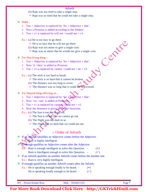### Adverb

- (b) Raju was too tired to take a single step.
- $\Rightarrow$  Raju was so tired that he could not take a single step.

#### $\div$  Habit –

- 1. Too + Adjective is replaced by 'So + Adjective + that'.
- 2. Now a Pronoun is added according to the Subject.
- 3. Too + v1 is replaced by will not / would not + v1.

Ex.:- (a) He is too lazy to go there.

- $\Rightarrow$  He is so lazy that he will not go there.
- (b) Raju was too miser to give a single coin.
- $\Rightarrow$  Raju was so miser that he would not give a single coin.

### $\triangleleft$  For Non living thing –

- 1. Too + Adjective is replaced by 'So + Adjective + that'.
- 2. Now 'it / they' is added as Pronoun.
- 3. Too + v1 is replaced by cannot / could not + be + v3.

Ex.:- (a) The stick is too hard to break.

- $\Rightarrow$  The stick is so hard that it cannot be broken.
- (b) The distance was too long to cover.
- $\Rightarrow$  The distance was so long that it could not be covered.

### $\triangleleft$  For Natural thing affecting us –

- 1. Too + Adjective is replaced by 'So  $+A$ djective + that'.
- 2. Now 'we / one' is added as Pronoun.
- 3. Too + v1 is replaced by cannot could not + v1.
- 4. Now the Sentence is given its Proper Structure.
- Ex.:- (a) The Sun is too hot to go out.
	- $\Rightarrow$  The Sun is so hot that we cannot go out.
	- (b) The Night was too dark to se.
	- $\Rightarrow$  The Night was so dark that we could not see.

# Order of Adverb

 If an Adverb Qualifies an Adjective comes before the Adjective. Ex.: Ram is highly intelligent.

**If enough qualifies an Adjective comes after the Adjective.** 

Ex.:- Ram is enough intelligent to solve this Question.  $\cdot$  ( $\cdot$ )

Ram is Intelligent enough to solve this Question.  $-(\checkmark)$ 

- If an Adverb qualifies an another Adverb comes before the another one. Ex.:- Ram is very highly intelligent.
- If enough qualifies an another Adverb comes after the Adverb.
	- Ex.:- He is speaking enough loudly to be heard.  $\cdot$  ( $\cdot$ )

He is speaking loudly enough to be heard.  $\cdot$  ( $\checkmark$ )

Centre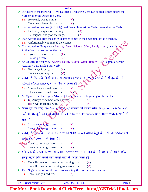| <b>Adverb</b><br>If Adverb of manner (Adj. + ly) qualifies a Transitive Verb can be used either before the<br>參             |
|-----------------------------------------------------------------------------------------------------------------------------|
| Verb or after the Object the Verb.                                                                                          |
| Ex.:- He clearly writes a letter. -                                                                                         |
| He writes a letter clearly. $\qquad$ ( $\checkmark$ )                                                                       |
| If an Adverb of manner $(Adj. + ly)$ qualifies an Intransitive Verb comes after the Verb.<br>參                              |
| Ex.:- He loudly laughed on the stage.<br>$\sim 10$<br>$(\mathbf{x})$                                                        |
| He laughed loudly on the stage. -<br>$(\checkmark)$                                                                         |
| If an Adverb qualifies the entire Sentence comes in the beginning of the Sentence.<br>參                                     |
| Ex.:- Unfortunately you missed the change.                                                                                  |
| If an Adverb of Frequency (Always, Never, Seldom, Often, Rarely etc.) qualifies an                                          |
| Action Verb comes before the Verb.                                                                                          |
| $Ex.:$ I go never there. $\qquad$ -<br>$(\mathbf{x})$                                                                       |
| I never go there. $\qquad \qquad (-\checkmark)$                                                                             |
| An Adverb of frequency (Always, Never, Seldom, Often, Rarely  etc.) comes after the<br>❖                                    |
| Auxiliary Verb made Main Verb.                                                                                              |
| Ex.:- He always is busy. -<br>$(\mathbf{x})$                                                                                |
| He is always busy. $-(\checkmark)$                                                                                          |
| * ध्यान रहे कि यदि किसी वाक्य में Auxiliary Verb तथा Main Verb दोनों मौजूद हो, तो                                           |
| Adverb of Frequency दोनों के बीच में आता हैं।                                                                               |
| Ex.:- I never have visited there.<br>$(\mathbf{x})$                                                                         |
| I have never visited there.                                                                                                 |
| An Optative Sentence gets Adverb of Frequency in the beginning of the Sentence.<br>參                                        |
| Ex.:- (a) Always remember of my advice. $\checkmark$<br>$(\checkmark)$                                                      |
| (b) Never touch this wire.<br>$(\checkmark)$                                                                                |
| * ध्यान रहे कि यदि 'Be-form   Infinitive' योजना को दर्शावें तथा 'Have-form + Infinitive'                                    |
|                                                                                                                             |
| फर्ज या मजबूरी का भाव दशीला हो, तो Adverb of Frequency Be of Have Verb के पहले हो                                           |
| जाता हैं।                                                                                                                   |
| Ex.:- I have never to go there. $\qquad \qquad$ ( $\mathbf{x}$ )                                                            |
| I never have to go there. $\qquad \qquad (-\checkmark)$                                                                     |
| * ध्यान रहे कि यदि 'Use to / Used to' का प्रयोग आदत दर्शाने हेतुः होता हो, तो 'Adverb of                                    |
|                                                                                                                             |
| Frequency इनके पहले आता हैं।                                                                                                |
| $\mathbf{Ex}_{\mathbf{a}}$ Pused to never go there.<br>$(\mathbf{x})$                                                       |
| $\blacktriangleright$ I never used to go there. $\blacktriangleright$ ( $\checkmark$ )                                      |
| * यदि एक ही प्रकार के एक से ज्यादा Adverb एक साथ आते हो, तो महत्व से सबसे छोटा                                              |
| सबसे पहले और सबसे बड़ा सबसे बाद में लिखा जाता हैं।                                                                          |
|                                                                                                                             |
| Ex.:- He will come tomorrow in the morning. -<br>$(\mathbf{x})$                                                             |
| He will come in the morning tomorrow.<br>$(\checkmark)$                                                                     |
| ❖ Two Negative sense word cannot we used together for the same Sentence.<br>Ex.:- I shall not go nowhere.<br>$(\mathbf{x})$ |
|                                                                                                                             |
|                                                                                                                             |
| <b>BY</b> - Pritam Kumar Raw<br>Mob. - 9534411155<br>Page 8                                                                 |